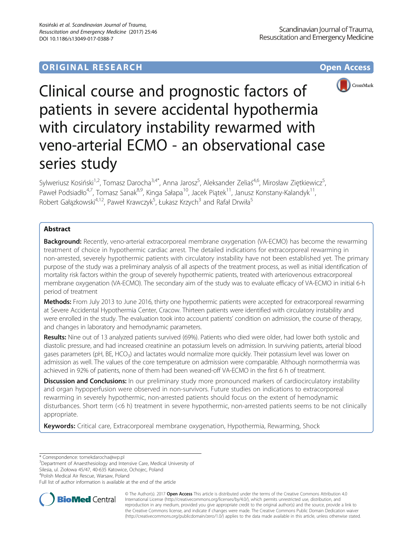# **ORIGINAL RESEARCH CONSUMING ACCESS**



Clinical course and prognostic factors of patients in severe accidental hypothermia with circulatory instability rewarmed with veno-arterial ECMO - an observational case series study

Sylweriusz Kosiński<sup>1,2</sup>, Tomasz Darocha<sup>3,4\*</sup>, Anna Jarosz<sup>5</sup>, Aleksander Zeliaś<sup>4,6</sup>, Mirosław Ziętkiewicz<sup>5</sup> , Paweł Podsiadło<sup>4,7</sup>, Tomasz Sanak<sup>8,9</sup>, Kinga Sałapa<sup>10</sup>, Jacek Piątek<sup>11</sup>, Janusz Konstany-Kalandyk<sup>11</sup>, Robert Gałązkowski<sup>4,12</sup>, Paweł Krawczyk<sup>5</sup>, Łukasz Krzych<sup>3</sup> and Rafał Drwiła<sup>5</sup>

## Abstract

**Background:** Recently, veno-arterial extracorporeal membrane oxygenation (VA-ECMO) has become the rewarming treatment of choice in hypothermic cardiac arrest. The detailed indications for extracorporeal rewarming in non-arrested, severely hypothermic patients with circulatory instability have not been established yet. The primary purpose of the study was a preliminary analysis of all aspects of the treatment process, as well as initial identification of mortality risk factors within the group of severely hypothermic patients, treated with arteriovenous extracorporeal membrane oxygenation (VA-ECMO). The secondary aim of the study was to evaluate efficacy of VA-ECMO in initial 6-h period of treatment

Methods: From July 2013 to June 2016, thirty one hypothermic patients were accepted for extracorporeal rewarming at Severe Accidental Hypothermia Center, Cracow. Thirteen patients were identified with circulatory instability and were enrolled in the study. The evaluation took into account patients' condition on admission, the course of therapy, and changes in laboratory and hemodynamic parameters.

Results: Nine out of 13 analyzed patients survived (69%). Patients who died were older, had lower both systolic and diastolic pressure, and had increased creatinine an potassium levels on admission. In surviving patients, arterial blood gases parameters (pH, BE, HCO<sub>3</sub>) and lactates would normalize more quickly. Their potassium level was lower on admission as well. The values of the core temperature on admission were comparable. Although normothermia was achieved in 92% of patients, none of them had been weaned-off VA-ECMO in the first 6 h of treatment.

Discussion and Conclusions: In our preliminary study more pronounced markers of cardiocirculatory instability and organ hypoperfusion were observed in non-survivors. Future studies on indications to extracorporeal rewarming in severely hypothermic, non-arrested patients should focus on the extent of hemodynamic disturbances. Short term (<6 h) treatment in severe hypothermic, non-arrested patients seems to be not clinically appropriate.

Keywords: Critical care, Extracorporeal membrane oxygenation, Hypothermia, Rewarming, Shock

\* Correspondence: [tomekdarocha@wp.pl](mailto:tomekdarocha@wp.pl) <sup>3</sup>

<sup>3</sup>Department of Anaesthesiology and Intensive Care, Medical University of

Silesia, ul. Ziołowa 45/47, 40-635 Katowice, Ochojec, Poland

<sup>4</sup>Polish Medical Air Rescue, Warsaw, Poland

Full list of author information is available at the end of the article



© The Author(s). 2017 **Open Access** This article is distributed under the terms of the Creative Commons Attribution 4.0 International License [\(http://creativecommons.org/licenses/by/4.0/](http://creativecommons.org/licenses/by/4.0/)), which permits unrestricted use, distribution, and reproduction in any medium, provided you give appropriate credit to the original author(s) and the source, provide a link to the Creative Commons license, and indicate if changes were made. The Creative Commons Public Domain Dedication waiver [\(http://creativecommons.org/publicdomain/zero/1.0/](http://creativecommons.org/publicdomain/zero/1.0/)) applies to the data made available in this article, unless otherwise stated.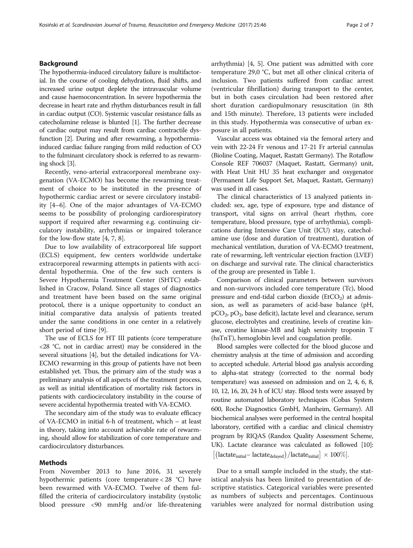## Background

The hypothermia-induced circulatory failure is multifactorial. In the course of cooling dehydration, fluid shifts, and increased urine output deplete the intravascular volume and cause haemoconcentration. In severe hypothermia the decrease in heart rate and rhythm disturbances result in fall in cardiac output (CO). Systemic vascular resistance falls as catecholamine release is blunted [\[1](#page-5-0)]. The further decrease of cardiac output may result from cardiac contractile dysfunction [\[2](#page-5-0)]. During and after rewarming, a hypothermiainduced cardiac failure ranging from mild reduction of CO to the fulminant circulatory shock is referred to as rewarming shock [[3\]](#page-5-0).

Recently, veno-arterial extracorporeal membrane oxygenation (VA-ECMO) has become the rewarming treatment of choice to be instituted in the presence of hypothermic cardiac arrest or severe circulatory instability [[4](#page-5-0)–[6\]](#page-5-0). One of the major advantages of VA-ECMO seems to be possibility of prolonging cardiorespiratory support if required after rewarming e.g. continuing circulatory instability, arrhythmias or impaired tolerance for the low-flow state [[4](#page-5-0), [7](#page-5-0), [8](#page-6-0)].

Due to low availability of extracorporeal life support (ECLS) equipment, few centers worldwide undertake extracorporeal rewarming attempts in patients with accidental hypothermia. One of the few such centers is Severe Hypothermia Treatment Center (SHTC) established in Cracow, Poland. Since all stages of diagnostics and treatment have been based on the same original protocol, there is a unique opportunity to conduct an initial comparative data analysis of patients treated under the same conditions in one center in a relatively short period of time [\[9](#page-6-0)].

The use of ECLS for HT III patients (core temperature <28 °C, not in cardiac arrest) may be considered in the several situations [[4\]](#page-5-0), but the detailed indications for VA-ECMO rewarming in this group of patients have not been established yet. Thus, the primary aim of the study was a preliminary analysis of all aspects of the treatment process, as well as initial identification of mortality risk factors in patients with cardiocirculatory instability in the course of severe accidental hypothermia treated with VA-ECMO.

The secondary aim of the study was to evaluate efficacy of VA-ECMO in initial 6-h of treatment, which – at least in theory, taking into account achievable rate of rewarming, should allow for stabilization of core temperature and cardiocirculatory disturbances.

## Methods

From November 2013 to June 2016, 31 severely hypothermic patients (core temperature < 28 °C) have been rewarmed with VA-ECMO. Twelve of them fulfilled the criteria of cardiocirculatory instability (systolic blood pressure <90 mmHg and/or life-threatening arrhythmia) [\[4](#page-5-0), [5](#page-5-0)]. One patient was admitted with core temperature 29,0 °C, but met all other clinical criteria of inclusion. Two patients suffered from cardiac arrest (ventricular fibrillation) during transport to the center, but in both cases circulation had been restored after short duration cardiopulmonary resuscitation (in 8th and 15th minute). Therefore, 13 patients were included in this study. Hypothermia was consecutive of urban exposure in all patients.

Vascular access was obtained via the femoral artery and vein with 22-24 Fr venous and 17-21 Fr arterial cannulas (Bioline Coating, Maquet, Rastatt Germany). The Rotaflow Console REF 706037 (Maquet, Rastatt, Germany) unit, with Heat Unit HU 35 heat exchanger and oxygenator (Permanent Life Support Set, Maquet, Rastatt, Germany) was used in all cases.

The clinical characteristics of 13 analyzed patients included: sex, age, type of exposure, type and distance of transport, vital signs on arrival (heart rhythm, core temperature, blood pressure, type of arrhythmia), complications during Intensive Care Unit (ICU) stay, catecholamine use (dose and duration of treatment), duration of mechanical ventilation, duration of VA-ECMO treatment, rate of rewarming, left ventricular ejection fraction (LVEF) on discharge and survival rate. The clinical characteristics of the group are presented in Table [1.](#page-2-0)

Comparison of clinical parameters between survivors and non-survivors included core temperature (Tc), blood pressure and end-tidal carbon dioxide ( $EtCO<sub>2</sub>$ ) at admission, as well as parameters of acid-base balance (pH,  $pCO<sub>2</sub>$ ,  $pO<sub>2</sub>$ , base deficit), lactate level and clearance, serum glucose, electrolytes and creatinine, levels of creatine kinase, creatine kinase-MB and high sensivity troponin T (hsTnT), hemoglobin level and coagulation profile.

Blood samples were collected for the blood glucose and chemistry analysis at the time of admission and according to accepted schedule. Arterial blood gas analysis according to alpha-stat strategy (corrected to the normal body temperature) was assessed on admission and on 2, 4, 6, 8, 10, 12, 16, 20, 24 h of ICU stay. Blood tests were assayed by routine automated laboratory techniques (Cobas System 600, Roche Diagnostics GmbH, Manheim, Germany). All biochemical analyses were performed in the central hospital laboratory, certified with a cardiac and clinical chemistry program by RIQAS (Randox Quality Assessment Scheme, UK). Lactate clearance was calculated as followed [\[10](#page-6-0)]:  $\left| \frac{1}{\text{lactate}_{\text{initial}} - \text{lactate}_{\text{delayed}}} \right| \frac{1}{\text{lactate}_{\text{initial}}} \right| \times 100\%.$ 

Due to a small sample included in the study, the statistical analysis has been limited to presentation of descriptive statistics. Categorical variables were presented as numbers of subjects and percentages. Continuous variables were analyzed for normal distribution using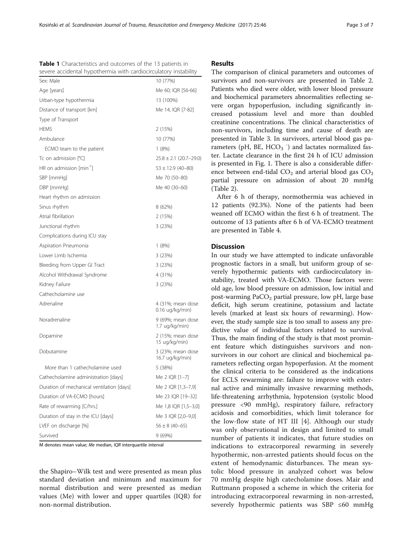<span id="page-2-0"></span>Table 1 Characteristics and outcomes of the 13 patients in severe accidental hypothermia with cardiocirculatory instability

| ╯                                         |                                      |
|-------------------------------------------|--------------------------------------|
| Sex: Male                                 | 10 (77%)                             |
| Age [years]                               | Me 60; IQR [56-66]                   |
| Urban-type hypothermia                    | 13 (100%)                            |
| Distance of transport [km]                | Me 14, IQR [7-82]                    |
| Type of Transport                         |                                      |
| <b>HEMS</b>                               | 2 (15%)                              |
| Ambulance                                 | 10 (77%)                             |
| ECMO team to the patient                  | 1(8%)                                |
| Tc on admission $[°C]$                    | $25.8 \pm 2.1$ (20.7-29.0)           |
| HR on admission [min <sup>-1</sup> ]      | $53 \pm 12.9$ (40-80)                |
| SBP [mmHg]                                | Me 70 (50–80)                        |
| DBP [mmHg]                                | Me 40 (30–60)                        |
| Heart rhythm on admission                 |                                      |
| Sinus rhythm                              | 8 (62%)                              |
| Atrial fibrillation                       | 2 (15%)                              |
| Junctional rhythm                         | 3 (23%)                              |
| Complications during ICU stay             |                                      |
| Aspiration Pneumonia                      | 1(8%)                                |
| Lower Limb Ischemia                       | 3 (23%)                              |
| Bleeding from Upper GI Tract              | 3(23%)                               |
| Alcohol Withdrawal Syndrome               | 4 (31%)                              |
| Kidney Failure                            | 3 (23%)                              |
| Cathecholamine use                        |                                      |
| Adrenaline                                | 4 (31%; mean dose<br>0.16 ug/kg/min) |
| Noradrenaline                             | 9 (69%; mean dose<br>1.7 ug/kg/min)  |
| Dopamine                                  | 2 (15%; mean dose<br>15 ug/kg/min)   |
| Dobutamine                                | 3 (23%; mean dose<br>16.7 ug/kg/min) |
| More than 1 cathecholamine used           | 5 (38%)                              |
| Cathecholamine administration [days]      | Me 2 IQR [1-7]                       |
| Duration of mechanical ventilation [days] | Me 2 IQR [1,3-7,9]                   |
| Duration of VA-ECMO [hours]               | Me 23 IQR [19-32]                    |
| Rate of rewarming [C/hrs.]                | Me 1,8 IQR [1,5-3,0]                 |
| Duration of stay in the ICU [days]        | Me 3 IQR [2,0-9,0]                   |
| LVEF on discharge [%]                     | $56 \pm 8 (40 - 65)$                 |
| Survived                                  | 9 (69%)                              |

M denotes mean value; Me median, IQR interquartile interval

the Shapiro–Wilk test and were presented as mean plus standard deviation and minimum and maximum for normal distribution and were presented as median values (Me) with lower and upper quartiles (IQR) for non-normal distribution.

## Results

The comparison of clinical parameters and outcomes of survivors and non-survivors are presented in Table [2](#page-3-0). Patients who died were older, with lower blood pressure and biochemical parameters abnormalities reflecting severe organ hypoperfusion, including significantly increased potassium level and more than doubled creatinine concentrations. The clinical characteristics of non-survivors, including time and cause of death are presented in Table [3.](#page-3-0) In survivors, arterial blood gas parameters (pH, BE, HCO<sub>3</sub>  $\dot{\phantom{1}}$ ) and lactates normalized faster. Lactate clearance in the first 24 h of ICU admission is presented in Fig. [1.](#page-4-0) There is also a considerable difference between end-tidal  $CO<sub>2</sub>$  and arterial blood gas  $CO<sub>2</sub>$ partial pressure on admission of about 20 mmHg (Table [2\)](#page-3-0).

After 6 h of therapy, normothermia was achieved in 12 patients (92.3%). None of the patients had been weaned off ECMO within the first 6 h of treatment. The outcome of 13 patients after 6 h of VA-ECMO treatment are presented in Table [4.](#page-4-0)

## **Discussion**

In our study we have attempted to indicate unfavorable prognostic factors in a small, but uniform group of severely hypothermic patients with cardiocirculatory instability, treated with VA-ECMO. Those factors were: old age, low blood pressure on admission, low initial and post-warming  $PaCO<sub>2</sub>$  partial pressure, low pH, large base deficit, high serum creatinine, potassium and lactate levels (marked at least six hours of rewarming). However, the study sample size is too small to assess any predictive value of individual factors related to survival. Thus, the main finding of the study is that most prominent feature which distinguishes survivors and nonsurvivors in our cohort are clinical and biochemical parameters reflecting organ hypoperfusion. At the moment the clinical criteria to be considered as the indications for ECLS rewarming are: failure to improve with external active and minimally invasive rewarming methods, life-threatening arrhythmia, hypotension (systolic blood pressure <90 mmHg), respiratory failure, refractory acidosis and comorbidities, which limit tolerance for the low-flow state of HT III [[4](#page-5-0)]. Although our study was only observational in design and limited to small number of patients it indicates, that future studies on indications to extracorporeal rewarming in severely hypothermic, non-arrested patients should focus on the extent of hemodynamic disturbances. The mean systolic blood pressure in analyzed cohort was below 70 mmHg despite high catecholamine doses. Mair and Ruttmann proposed a scheme in which the criteria for introducing extracorporeal rewarming in non-arrested, severely hypothermic patients was SBP ≤60 mmHg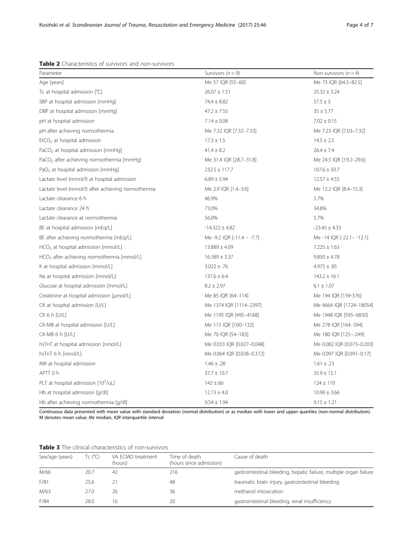<span id="page-3-0"></span>

| <b>Table 2</b> Characteristics of survivors and non-survivors |  |  |
|---------------------------------------------------------------|--|--|
|---------------------------------------------------------------|--|--|

| Parameter                                              | Survivors $(n = 9)$        | Non-survivors $(n = 4)$    |
|--------------------------------------------------------|----------------------------|----------------------------|
| Age [years]                                            | Me 57 IQR [55-60]          | Me 73 IQR [64.5-82.5]      |
| Tc at hospital admission [°C]                          | $26.07 \pm 1.51$           | $25.32 \pm 3.24$           |
| SBP at hospital admission [mmHq]                       | $74.4 \pm 8.82$            | $57.5 \pm 5$               |
| DBP at hospital admission [mmHq]                       | $47.2 \pm 7.55$            | $35 \pm 5.77$              |
| pH at hospital admission                               | $7.14 \pm 0.08$            | $7.02 \pm 0.15$            |
| pH after achieving normothermia                        | Me 7.32 IQR [7.32-7.33]    | Me 7.23 IQR [7.03-7.32]    |
| $EtCO2$ at hospital admission                          | $17.3 \pm 1.5$             | $14.5 \pm 2.5$             |
| PaCO <sub>2</sub> at hospital admission [mmHq]         | $41.4 \pm 8.2$             | $26.4 \pm 7.4$             |
| PaCO <sub>2</sub> after achieving normothermia [mmHg]  | Me 31.4 IQR [28.7-31.8]    | Me 24.5 IQR [19.2-29.6]    |
| PaO <sub>2</sub> at hospital admission [mmHq]          | $232.5 \pm 117.7$          | $107.6 \pm 50.7$           |
| Lactate level (mmol/l) at hospital admission           | $6.89 \pm 5.94$            | $12.57 \pm 4.55$           |
| Lactate level (mmol/l) after achieving normothermia    | Me 2.9 IQR [1.4-3.6]       | Me 12.2 IQR [8.4-15.3]     |
| Lactate clearance 6 h                                  | 46.9%                      | 5.7%                       |
| Lactate clearance 24 h                                 | 73.0%                      | 34.8%                      |
| Lactate clearance at normothermia                      | 56.0%                      | 5.7%                       |
| BE at hospital admission [mEq/L]                       | $-14.322 \pm 4.82$         | $-23.45 \pm 4.33$          |
| BE after achieving normothermia [mEq/L]                | Me -9.2 IQR [-11.4 - -7.7] | Me-14 IQR [-22.1--12.1]    |
| HCO <sub>3</sub> at hospital admission [mmol/L]        | $13.889 \pm 4.09$          | $7.225 \pm 1.63$           |
| HCO <sub>3</sub> after achieving normothermia [mmol/L] | $16.389 \pm 3.37$          | $9.850 \pm 4.78$           |
| K at hospital admission [mmol/L]                       | $3.022 \pm .76$            | $4.975 \pm .85$            |
| Na at hospital admission [mmol/L]                      | $137.6 \pm 6.4$            | $143.2 \pm 16.1$           |
| Glucose at hospital admission [mmol/L]                 | $8.2 \pm 2.97$             | $6.1 \pm 1.07$             |
| Creatinine at hospital admission [µmol/L]              | Me 85 IQR [64-114]         | Me 194 IQR [139-376]       |
| CK at hospital admission [U/L]                         | Me 1374 IQR [1114-2397]    | Me 4664 IQR [1724-18054]   |
| CK 6 h [U/L]                                           | Me 1195 IQR [495-4168]     | Me 1948 IQR [595-6830]     |
| CK-MB at hospital admission [U/L]                      | Me 115 IQR [100-132]       | Me 278 IQR [164-394]       |
| CK-MB 6 h [U/L]                                        | Me 70 IQR [54-183]         | Me 180 IQR [125--249]      |
| hsTnT at hospital admission [nmol/L]                   | Me 0.033 IQR [0.027-0.048] | Me 0.082 IQR [0.073-0.203] |
| hsTnT 6 h [nmol/L]                                     | Me 0.064 IQR [0.038-0.372] | Me 0.097 IQR [0.091-0.17]  |
| INR at hospital admission                              | $1.46 \pm .28$             | $1.61 \pm .23$             |
| APTT 0 h                                               | $37.7 \pm 10.7$            | $35.9 \pm 15.1$            |
| PLT at hospital admission [10 <sup>3</sup> /uL]        | $142 \pm 66$               | $124 \pm 110$              |
| Hb at hospital admission [g/dl]                        | $12.13 \pm 4.0$            | $10.90 \pm 3.66$           |
| Hb after achieving normothermia [q/dl]                 | $9.54 \pm 1.94$            | $9.15 \pm 1.21$            |

Continuous data presented with mean value with standard deviation (normal distribution) or as median with lower and upper quartiles (non-normal distribution). M denotes mean value; Me median, IQR interquartile interval

Table 3 The clinical characteristics of non-survivors

| Sex/age (years) | Tc (°C) | VA ECMO treatment<br>(hours) | Time of death<br>(hours since admission) | Cause of death                                                     |
|-----------------|---------|------------------------------|------------------------------------------|--------------------------------------------------------------------|
| M/66            | 20.7    | -42                          | 216                                      | gastrointestinal bleeding, hepatic failure, multiple organ failure |
| F/81            | 25.6    |                              | 48                                       | traumatic brain injury, gastrointestinal bleeding                  |
| M/63            | 27.O    | 26                           | 36                                       | methanol intoxication                                              |
| F/84            | 28.0    | 16                           | 20                                       | gastrointestinal bleeding, renal insufficiency                     |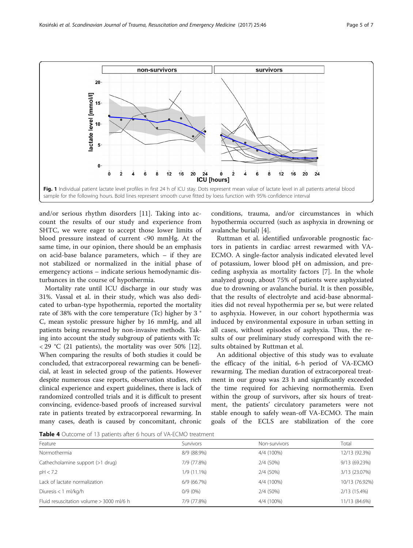<span id="page-4-0"></span>

and/or serious rhythm disorders [\[11](#page-6-0)]. Taking into account the results of our study and experience from SHTC, we were eager to accept those lower limits of blood pressure instead of current <90 mmHg. At the same time, in our opinion, there should be an emphasis on acid-base balance parameters, which – if they are not stabilized or normalized in the initial phase of emergency actions – indicate serious hemodynamic disturbances in the course of hypothermia.

Mortality rate until ICU discharge in our study was 31%. Vassal et al. in their study, which was also dedicated to urban-type hypothermia, reported the mortality rate of 38% with the core temperature (Tc) higher by 3 ° C, mean systolic pressure higher by 16 mmHg, and all patients being rewarmed by non-invasive methods. Taking into account the study subgroup of patients with Tc  $\langle 29 \degree C \rangle$  (21 patients), the mortality was over 50% [\[12](#page-6-0)]. When comparing the results of both studies it could be concluded, that extracorporeal rewarming can be beneficial, at least in selected group of the patients. However despite numerous case reports, observation studies, rich clinical experience and expert guidelines, there is lack of randomized controlled trials and it is difficult to present convincing, evidence-based proofs of increased survival rate in patients treated by extracorporeal rewarming. In many cases, death is caused by concomitant, chronic

conditions, trauma, and/or circumstances in which hypothermia occurred (such as asphyxia in drowning or avalanche burial) [\[4](#page-5-0)].

Ruttman et al. identified unfavorable prognostic factors in patients in cardiac arrest rewarmed with VA-ECMO. A single-factor analysis indicated elevated level of potassium, lower blood pH on admission, and preceding asphyxia as mortality factors [[7](#page-5-0)]. In the whole analyzed group, about 75% of patients were asphyxiated due to drowning or avalanche burial. It is then possible, that the results of electrolyte and acid-base abnormalities did not reveal hypothermia per se, but were related to asphyxia. However, in our cohort hypothermia was induced by environmental exposure in urban setting in all cases, without episodes of asphyxia. Thus, the results of our preliminary study correspond with the results obtained by Ruttman et al.

An additional objective of this study was to evaluate the efficacy of the initial, 6-h period of VA-ECMO rewarming. The median duration of extracorporeal treatment in our group was 23 h and significantly exceeded the time required for achieving normothermia. Even within the group of survivors, after six hours of treatment, the patients' circulatory parameters were not stable enough to safely wean-off VA-ECMO. The main goals of the ECLS are stabilization of the core

Table 4 Outcome of 13 patients after 6 hours of VA-ECMO treatment

| Feature                                  | Survivors     | Non-survivors | Total          |
|------------------------------------------|---------------|---------------|----------------|
| Normothermia                             | 8/9 (88.9%)   | 4/4 (100%)    | 12/13 (92.3%)  |
| Cathecholamine support (>1 drug)         | 7/9 (77.8%)   | 2/4 (50%)     | 9/13 (69.23%)  |
| pH < 7.2                                 | $1/9(11.1\%)$ | 2/4 (50%)     | 3/13 (23.07%)  |
| Lack of lactate normalization            | 6/9(66.7%)    | 4/4 (100%)    | 10/13 (76.92%) |
| Diuresis $<$ 1 ml/kg/h                   | $0/9(0\%)$    | 2/4 (50%)     | 2/13 (15.4%)   |
| Fluid resuscitation volume > 3000 ml/6 h | 7/9 (77.8%)   | 4/4 (100%)    | 11/13 (84.6%)  |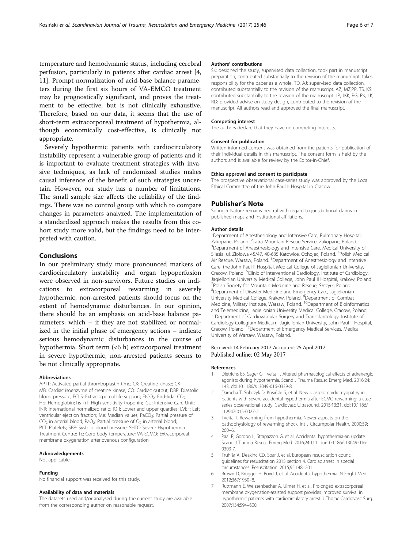<span id="page-5-0"></span>temperature and hemodynamic status, including cerebral perfusion, particularly in patients after cardiac arrest [4, [11\]](#page-6-0). Prompt normalization of acid-base balance parameters during the first six hours of VA-EMCO treatment may be prognostically significant, and proves the treatment to be effective, but is not clinically exhaustive. Therefore, based on our data, it seems that the use of short-term extracorporeal treatment of hypothermia, although economically cost-effective, is clinically not appropriate.

Severely hypothermic patients with cardiocirculatory instability represent a vulnerable group of patients and it is important to evaluate treatment strategies with invasive techniques, as lack of randomized studies makes causal inference of the benefit of such strategies uncertain. However, our study has a number of limitations. The small sample size affects the reliability of the findings. There was no control group with which to compare changes in parameters analyzed. The implementation of a standardized approach makes the results from this cohort study more valid, but the findings need to be interpreted with caution.

## Conclusions

In our preliminary study more pronounced markers of cardiocirculatory instability and organ hypoperfusion were observed in non-survivors. Future studies on indications to extracorporeal rewarming in severely hypothermic, non-arrested patients should focus on the extent of hemodynamic disturbances. In our opinion, there should be an emphasis on acid-base balance parameters, which – if they are not stabilized or normalized in the initial phase of emergency actions – indicate serious hemodynamic disturbances in the course of hypothermia. Short term (<6 h) extracorporeal treatment in severe hypothermic, non-arrested patients seems to be not clinically appropriate.

#### Abbreviations

APTT: Activated partial thromboplastin time; CK: Creatine kinase; CK-MB: Cardiac isoenzyme of creatine kinase; CO: Cardiac output; DBP: Diastolic blood pressure; ECLS: Extracorporeal life support; EtCO<sub>2</sub>: End-tidal CO<sub>2</sub>; Hb: Hemoglobin; hsTnT: High sensitivity troponin; ICU: Intensive Care Unit; INR: International normalized ratio; IQR: Lower and upper quartiles; LVEF: Left ventricular ejection fraction; Me: Median values; PaCO<sub>2</sub>: Partial pressure of  $CO<sub>2</sub>$  in arterial blood; PaO<sub>2</sub>: Partial pressure of  $O<sub>2</sub>$  in arterial blood; PLT: Platelets; SBP: Systolic blood pressure; SHTC: Severe Hypothermia Treatment Centre; Tc: Core body temperature; VA-ECMO: Extracorporeal membrane oxygenation arteriovenous configuration

### Acknowledgements

Not applicable.

#### Funding

No financial support was received for this study.

#### Availability of data and materials

The datasets used and/or analysed during the current study are available from the corresponding author on reasonable request.

### Authors' contributions

SK: designed the study, supervised data collection, took part in manuscript preparation, contributed substantially to the revision of the manuscript, takes responsibility for the paper as a whole. TD, AJ: supervised data collection, contributed substantially to the revision of the manuscript. AZ, MZ,PP, TS, KS: contributed substantially to the revision of the manuscript. JP, JKK, RG, PK, ŁK, RD: provided advise on study design, contributed to the revision of the manuscript. All authors read and approved the final manuscript.

#### Competing interest

The authors declare that they have no competing interests.

#### Consent for publication

Written informed consent was obtained from the patients for publication of their individual details in this manuscript. The consent form is held by the authors and is available for review by the Editor-in-Chief.

## Ethics approval and consent to participate

The prospective observational case-series study was approved by the Local Ethical Committee of the John Paul II Hospital in Cracow.

#### Publisher's Note

Springer Nature remains neutral with regard to jurisdictional claims in published maps and institutional affiliations.

#### Author details

<sup>1</sup>Department of Anesthesiology and Intensive Care, Pulmonary Hospital Zakopane, Poland. <sup>2</sup>Tatra Mountain Rescue Service, Zakopane, Poland.<br><sup>3</sup>Department of Anaesthesiology and Intensive Care Medical University <sup>3</sup>Department of Anaesthesiology and Intensive Care, Medical University of Silesia, ul. Ziołowa 45/47, 40-635 Katowice, Ochojec, Poland. <sup>4</sup>Polish Medical Air Rescue, Warsaw, Poland. <sup>5</sup>Department of Anesthesiology and Intensive Care, the John Paul II Hospital, Medical College of Jagiellonian University, Cracow, Poland. <sup>6</sup>Clinic of Interventional Cardiology, Institute of Cardiology, Jagiellonian University Medical College, John Paul II Hospital, Krakow, Poland. 7 Polish Society for Mountain Medicine and Rescue, Szczyrk, Poland. 8 Department of Disaster Medicine and Emergency Care, Jagiellonian University Medical College, Krakow, Poland. <sup>9</sup> Department of Combat Medicine, Military Institute, Warsaw, Poland. <sup>10</sup>Department of Bioinformatics and Telemedicine, Jagiellonian University Medical College, Cracow, Poland. 11Department of Cardiovascular Surgery and Transplantology, Institute of Cardiology Collegium Medicum, Jagiellonian University, John Paul II Hospital, Cracow, Poland. 12Department of Emergency Medical Services, Medical University of Warsaw, Warsaw, Poland.

## Received: 14 February 2017 Accepted: 25 April 2017 Published online: 02 May 2017

## References

- 1. Dietrichs ES, Sager G, Tveita T. Altered pharmacological effects of adrenergic agonists during hypothermia. Scand J Trauma Resusc Emerg Med. 2016;24: 143. doi:[10.1186/s13049-016-0339-8.](http://dx.doi.org/10.1186/s13049-016-0339-8)
- 2. Darocha T, Sobczyk D, Kosiński S, et al. New diastolic cardiomyopathy in patients with severe accidental hypothermia after ECMO rewarming: a caseseries observational study. Cardiovasc Ultrasound. 2015;13:31. doi:[10.1186/](http://dx.doi.org/10.1186/s12947-015-0027-2) [s12947-015-0027-2.](http://dx.doi.org/10.1186/s12947-015-0027-2)
- 3. Tveita T. Rewarming from hypothermia. Newer aspects on the pathophysiology of rewarming shock. Int J Circumpolar Health. 2000;59: 260–6.
- 4. Paal P, Gordon L, Strapazzon G, et al. Accidental hypothermia-an update. Scand J Trauma Resusc Emerg Med. 2016;24:111. doi:[10.1186/s13049-016-](http://dx.doi.org/10.1186/s13049-016-0303-7) [0303-7.](http://dx.doi.org/10.1186/s13049-016-0303-7)
- 5. Truhlár A, Deakinc CD, Soar J, et al. European resuscitation council guidelines for resuscitation 2015 section 4. Cardiac arrest in special circumstances. Resuscitation. 2015;95:148–201.
- 6. Brown D, Brugger H, Boyd J, et al. Accidental hypothermia. N Engl J Med. 2012;367:1930–8.
- 7. Ruttmann E, Weissenbacher A, Ulmer H, et al. Prolonged extracorporeal membrane oxygenation-assisted support provides improved survival in hypothermic patients with cardiocirculatory arrest. J Thorac Cardiovasc Surg. 2007;134:594–600.